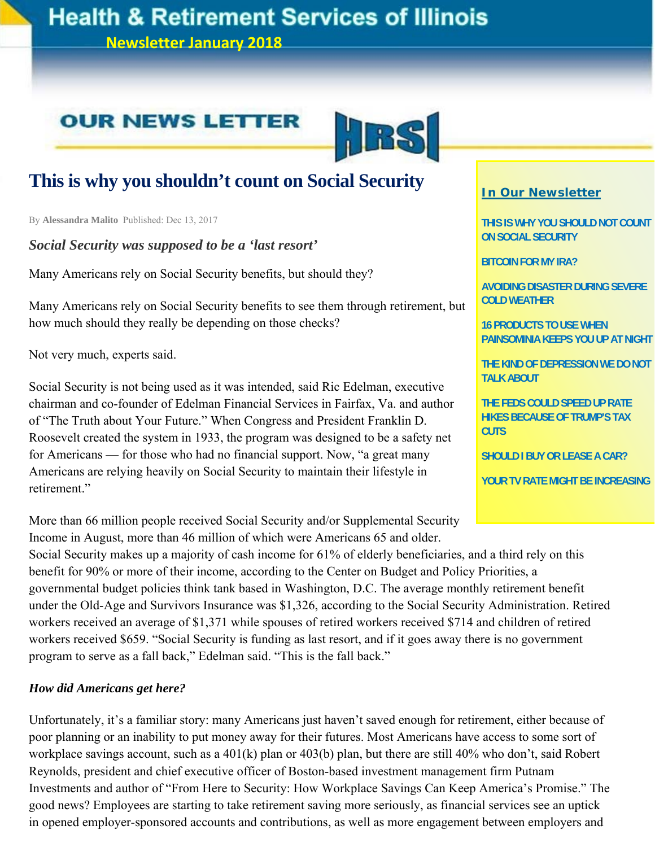## **Health & Retirement Services of Illinois**

**Newsletter January 2018**

## **OUR NEWS LETTER**



## **This is why you shouldn't count on Social Security**

By **Alessandra Malito** Published: Dec 13, 2017

*Social Security was supposed to be a 'last resort'* 

Many Americans rely on Social Security benefits, but should they?

Many Americans rely on Social Security benefits to see them through retirement, but how much should they really be depending on those checks?

Not very much, experts said.

Social Security is not being used as it was intended, said Ric Edelman, executive chairman and co-founder of Edelman Financial Services in Fairfax, Va. and author of "The Truth about Your Future." When Congress and President Franklin D. Roosevelt created the system in 1933, the program was designed to be a safety net for Americans — for those who had no financial support. Now, "a great many Americans are relying heavily on Social Security to maintain their lifestyle in retirement."

More than 66 million people received Social Security and/or Supplemental Security Income in August, more than 46 million of which were Americans 65 and older.

#### **In Our Newsletter**

**THIS IS WHY YOU SHOULD NOT COUNT ON SOCIAL SECURITY** 

**BITCOIN FOR MY IRA?** 

**AVOIDING DISASTER DURING SEVERE COLD WEATHER** 

**16 PRODUCTS TO USE WHEN PAINSOMINIA KEEPS YOU UP AT NIGHT**

**THE KIND OF DEPRESSION WE DO NOT TALK ABOUT** 

**THE FEDS COULD SPEED UP RATE HIKES BECAUSE OF TRUMP'S TAX CUTS** 

**SHOULD I BUY OR LEASE A CAR?** 

**YOUR TV RATE MIGHT BE INCREASING**

Social Security makes up a majority of cash income for 61% of elderly beneficiaries, and a third rely on this benefit for 90% or more of their income, according to the Center on Budget and Policy Priorities, a governmental budget policies think tank based in Washington, D.C. The average monthly retirement benefit under the Old-Age and Survivors Insurance was \$1,326, according to the Social Security Administration. Retired workers received an average of \$1,371 while spouses of retired workers received \$714 and children of retired workers received \$659. "Social Security is funding as last resort, and if it goes away there is no government program to serve as a fall back," Edelman said. "This is the fall back."

#### *How did Americans get here?*

Unfortunately, it's a familiar story: many Americans just haven't saved enough for retirement, either because of poor planning or an inability to put money away for their futures. Most Americans have access to some sort of workplace savings account, such as a 401(k) plan or 403(b) plan, but there are still 40% who don't, said Robert Reynolds, president and chief executive officer of Boston-based investment management firm Putnam Investments and author of "From Here to Security: How Workplace Savings Can Keep America's Promise." The good news? Employees are starting to take retirement saving more seriously, as financial services see an uptick in opened employer-sponsored accounts and contributions, as well as more engagement between employers and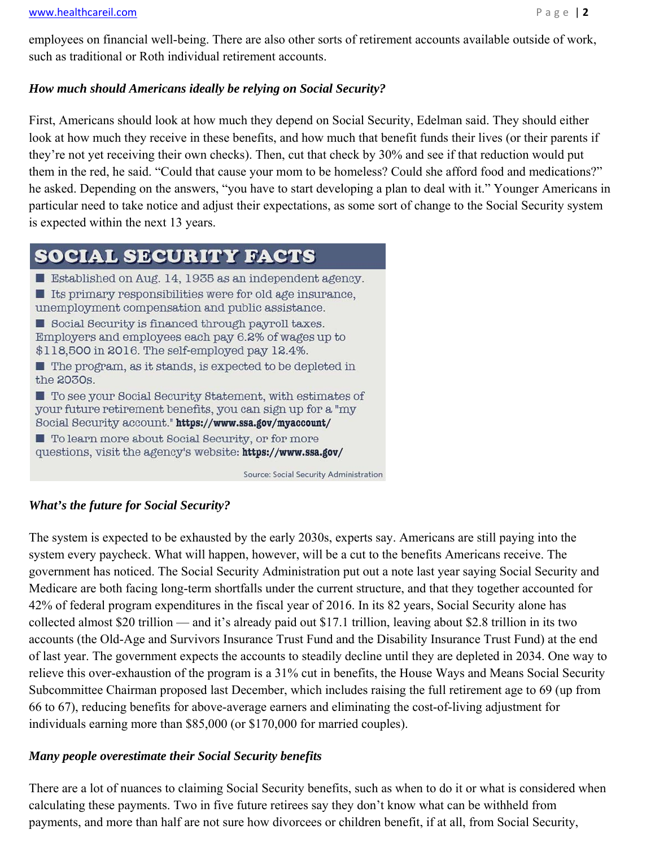employees on financial well-being. There are also other sorts of retirement accounts available outside of work, such as traditional or Roth individual retirement accounts.

#### *How much should Americans ideally be relying on Social Security?*

First, Americans should look at how much they depend on Social Security, Edelman said. They should either look at how much they receive in these benefits, and how much that benefit funds their lives (or their parents if they're not yet receiving their own checks). Then, cut that check by 30% and see if that reduction would put them in the red, he said. "Could that cause your mom to be homeless? Could she afford food and medications?" he asked. Depending on the answers, "you have to start developing a plan to deal with it." Younger Americans in particular need to take notice and adjust their expectations, as some sort of change to the Social Security system is expected within the next 13 years.

## **SOCIAL SECURITY FACTS**

Established on Aug. 14, 1935 as an independent agency.  $\blacksquare$  Its primary responsibilities were for old age insurance. unemployment compensation and public assistance. Social Security is financed through payroll taxes. Employers and employees each pay 6.2% of wages up to \$118,500 in 2016. The self-employed pay 12.4%.  $\blacksquare$  The program, as it stands, is expected to be depleted in the 2030s. ■ To see your Social Security Statement, with estimates of your future retirement benefits, you can sign up for a "my Social Security account." https://www.ssa.gov/myaccount/ ■ To learn more about Social Security, or for more questions, visit the agency's website: https://www.ssa.gov/

Source: Social Security Administration

#### *What's the future for Social Security?*

The system is expected to be exhausted by the early 2030s, experts say. Americans are still paying into the system every paycheck. What will happen, however, will be a cut to the benefits Americans receive. The government has noticed. The Social Security Administration put out a note last year saying Social Security and Medicare are both facing long-term shortfalls under the current structure, and that they together accounted for 42% of federal program expenditures in the fiscal year of 2016. In its 82 years, Social Security alone has collected almost \$20 trillion — and it's already paid out \$17.1 trillion, leaving about \$2.8 trillion in its two accounts (the Old-Age and Survivors Insurance Trust Fund and the Disability Insurance Trust Fund) at the end of last year. The government expects the accounts to steadily decline until they are depleted in 2034. One way to relieve this over-exhaustion of the program is a 31% cut in benefits, the House Ways and Means Social Security Subcommittee Chairman proposed last December, which includes raising the full retirement age to 69 (up from 66 to 67), reducing benefits for above-average earners and eliminating the cost-of-living adjustment for individuals earning more than \$85,000 (or \$170,000 for married couples).

#### *Many people overestimate their Social Security benefits*

There are a lot of nuances to claiming Social Security benefits, such as when to do it or what is considered when calculating these payments. Two in five future retirees say they don't know what can be withheld from payments, and more than half are not sure how divorcees or children benefit, if at all, from Social Security,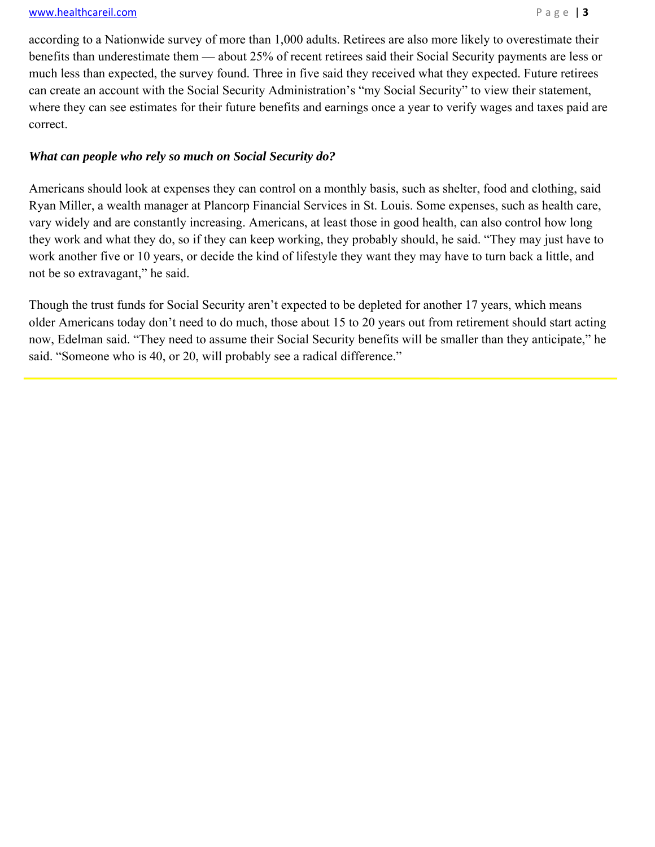according to a Nationwide survey of more than 1,000 adults. Retirees are also more likely to overestimate their benefits than underestimate them — about 25% of recent retirees said their Social Security payments are less or much less than expected, the survey found. Three in five said they received what they expected. Future retirees can create an account with the Social Security Administration's "my Social Security" to view their statement, where they can see estimates for their future benefits and earnings once a year to verify wages and taxes paid are correct.

#### *What can people who rely so much on Social Security do?*

Americans should look at expenses they can control on a monthly basis, such as shelter, food and clothing, said Ryan Miller, a wealth manager at Plancorp Financial Services in St. Louis. Some expenses, such as health care, vary widely and are constantly increasing. Americans, at least those in good health, can also control how long they work and what they do, so if they can keep working, they probably should, he said. "They may just have to work another five or 10 years, or decide the kind of lifestyle they want they may have to turn back a little, and not be so extravagant," he said.

Though the trust funds for Social Security aren't expected to be depleted for another 17 years, which means older Americans today don't need to do much, those about 15 to 20 years out from retirement should start acting now, Edelman said. "They need to assume their Social Security benefits will be smaller than they anticipate," he said. "Someone who is 40, or 20, will probably see a radical difference."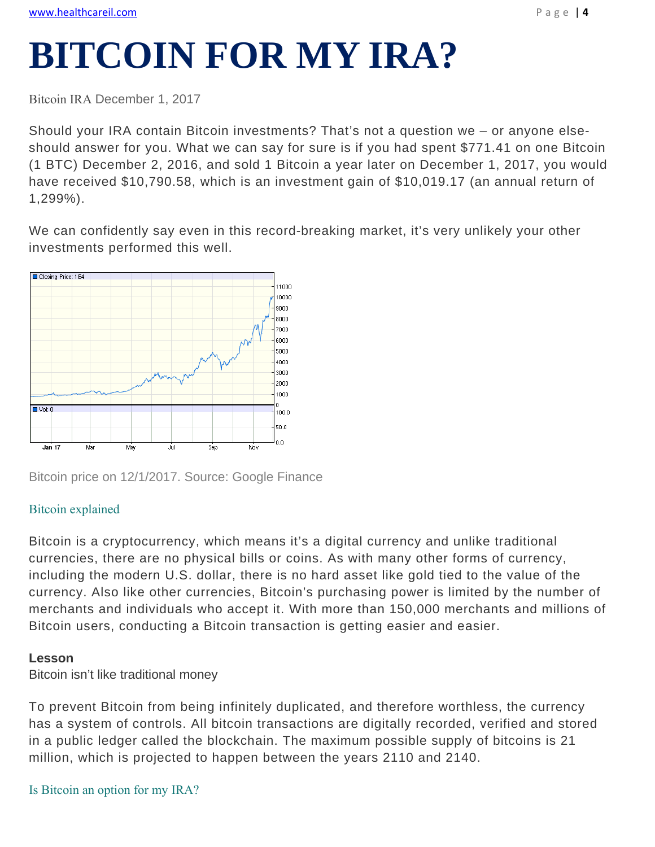# **BITCOIN FOR MY IRA?**

Bitcoin IRA December 1, 2017

Should your IRA contain Bitcoin investments? That's not a question we – or anyone elseshould answer for you. What we can say for sure is if you had spent \$771.41 on one Bitcoin (1 BTC) December 2, 2016, and sold 1 Bitcoin a year later on December 1, 2017, you would have received \$10,790.58, which is an investment gain of \$10,019.17 (an annual return of 1,299%).

We can confidently say even in this record-breaking market, it's very unlikely your other investments performed this well.



Bitcoin price on 12/1/2017. Source: Google Finance

#### Bitcoin explained

Bitcoin is a cryptocurrency, which means it's a digital currency and unlike traditional currencies, there are no physical bills or coins. As with many other forms of currency, including the modern U.S. dollar, there is no hard asset like gold tied to the value of the currency. Also like other currencies, Bitcoin's purchasing power is limited by the number of merchants and individuals who accept it. With more than 150,000 merchants and millions of Bitcoin users, conducting a Bitcoin transaction is getting easier and easier.

#### **Lesson**

Bitcoin isn't like traditional money

To prevent Bitcoin from being infinitely duplicated, and therefore worthless, the currency has a system of controls. All bitcoin transactions are digitally recorded, verified and stored in a public ledger called the blockchain. The maximum possible supply of bitcoins is 21 million, which is projected to happen between the years 2110 and 2140.

Is Bitcoin an option for my IRA?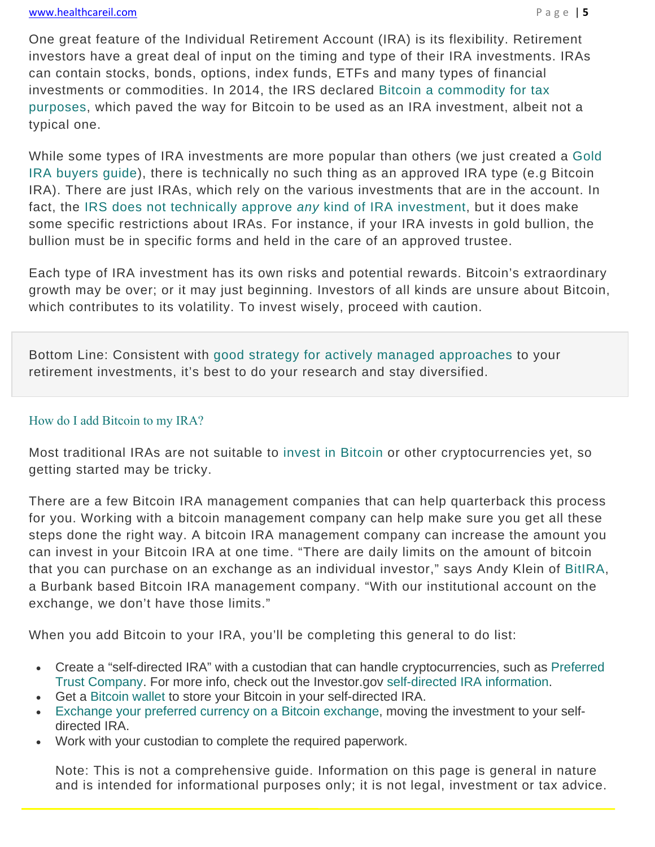One great feature of the Individual Retirement Account (IRA) is its flexibility. Retirement investors have a great deal of input on the timing and type of their IRA investments. IRAs can contain stocks, bonds, options, index funds, ETFs and many types of financial investments or commodities. In 2014, the IRS declared Bitcoin a commodity for tax purposes, which paved the way for Bitcoin to be used as an IRA investment, albeit not a typical one.

While some types of IRA investments are more popular than others (we just created a Gold IRA buyers guide), there is technically no such thing as an approved IRA type (e.g Bitcoin IRA). There are just IRAs, which rely on the various investments that are in the account. In fact, the IRS does not technically approve *any* kind of IRA investment, but it does make some specific restrictions about IRAs. For instance, if your IRA invests in gold bullion, the bullion must be in specific forms and held in the care of an approved trustee.

Each type of IRA investment has its own risks and potential rewards. Bitcoin's extraordinary growth may be over; or it may just beginning. Investors of all kinds are unsure about Bitcoin, which contributes to its volatility. To invest wisely, proceed with caution.

Bottom Line: Consistent with good strategy for actively managed approaches to your retirement investments, it's best to do your research and stay diversified.

#### How do I add Bitcoin to my IRA?

Most traditional IRAs are not suitable to invest in Bitcoin or other cryptocurrencies yet, so getting started may be tricky.

There are a few Bitcoin IRA management companies that can help quarterback this process for you. Working with a bitcoin management company can help make sure you get all these steps done the right way. A bitcoin IRA management company can increase the amount you can invest in your Bitcoin IRA at one time. "There are daily limits on the amount of bitcoin that you can purchase on an exchange as an individual investor," says Andy Klein of BitIRA, a Burbank based Bitcoin IRA management company. "With our institutional account on the exchange, we don't have those limits."

When you add Bitcoin to your IRA, you'll be completing this general to do list:

- Create a "self-directed IRA" with a custodian that can handle cryptocurrencies, such as Preferred Trust Company. For more info, check out the Investor.gov self-directed IRA information.
- Get a Bitcoin wallet to store your Bitcoin in your self-directed IRA.
- Exchange your preferred currency on a Bitcoin exchange, moving the investment to your selfdirected IRA.
- Work with your custodian to complete the required paperwork.

Note: This is not a comprehensive guide. Information on this page is general in nature and is intended for informational purposes only; it is not legal, investment or tax advice.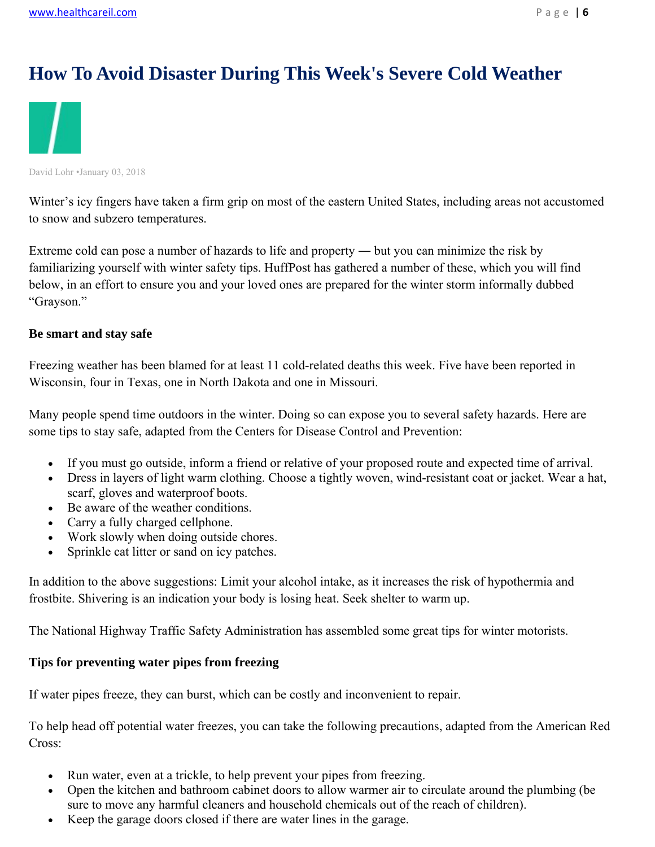## **How To Avoid Disaster During This Week's Severe Cold Weather**



David Lohr *•*January 03, 2018

Winter's icy fingers have taken a firm grip on most of the eastern United States, including areas not accustomed to snow and subzero temperatures.

Extreme cold can pose a number of hazards to life and property ― but you can minimize the risk by familiarizing yourself with winter safety tips. HuffPost has gathered a number of these, which you will find below, in an effort to ensure you and your loved ones are prepared for the winter storm informally dubbed "Grayson."

#### **Be smart and stay safe**

Freezing weather has been blamed for at least 11 cold-related deaths this week. Five have been reported in Wisconsin, four in Texas, one in North Dakota and one in Missouri.

Many people spend time outdoors in the winter. Doing so can expose you to several safety hazards. Here are some tips to stay safe, adapted from the Centers for Disease Control and Prevention:

- If you must go outside, inform a friend or relative of your proposed route and expected time of arrival.
- Dress in layers of light warm clothing. Choose a tightly woven, wind-resistant coat or jacket. Wear a hat, scarf, gloves and waterproof boots.
- Be aware of the weather conditions.
- Carry a fully charged cellphone.
- Work slowly when doing outside chores.
- Sprinkle cat litter or sand on icy patches.

In addition to the above suggestions: Limit your alcohol intake, as it increases the risk of hypothermia and frostbite. Shivering is an indication your body is losing heat. Seek shelter to warm up.

The National Highway Traffic Safety Administration has assembled some great tips for winter motorists.

#### **Tips for preventing water pipes from freezing**

If water pipes freeze, they can burst, which can be costly and inconvenient to repair.

To help head off potential water freezes, you can take the following precautions, adapted from the American Red Cross:

- Run water, even at a trickle, to help prevent your pipes from freezing.
- Open the kitchen and bathroom cabinet doors to allow warmer air to circulate around the plumbing (be sure to move any harmful cleaners and household chemicals out of the reach of children).
- Keep the garage doors closed if there are water lines in the garage.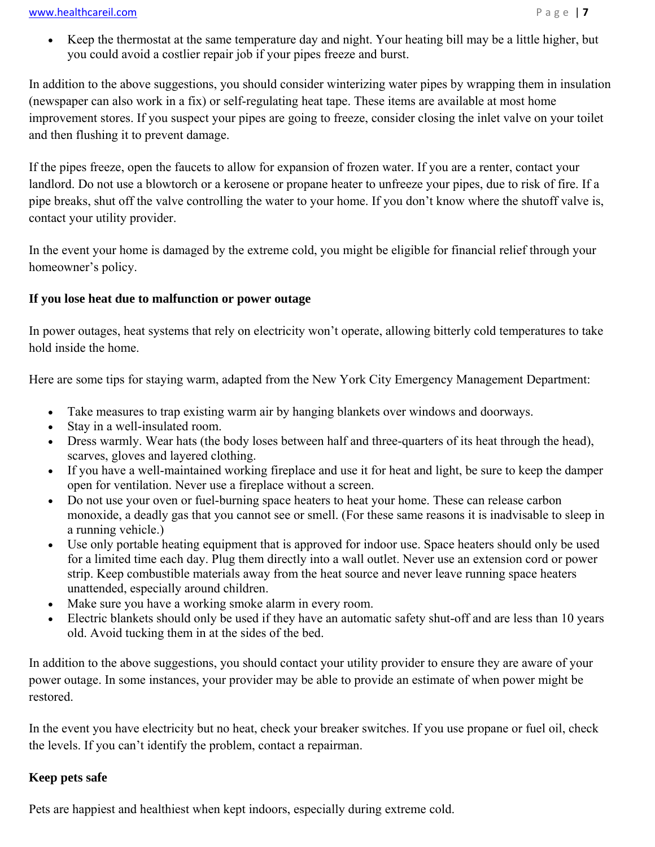Keep the thermostat at the same temperature day and night. Your heating bill may be a little higher, but you could avoid a costlier repair job if your pipes freeze and burst.

In addition to the above suggestions, you should consider winterizing water pipes by wrapping them in insulation (newspaper can also work in a fix) or self-regulating heat tape. These items are available at most home improvement stores. If you suspect your pipes are going to freeze, consider closing the inlet valve on your toilet and then flushing it to prevent damage.

If the pipes freeze, open the faucets to allow for expansion of frozen water. If you are a renter, contact your landlord. Do not use a blowtorch or a kerosene or propane heater to unfreeze your pipes, due to risk of fire. If a pipe breaks, shut off the valve controlling the water to your home. If you don't know where the shutoff valve is, contact your utility provider.

In the event your home is damaged by the extreme cold, you might be eligible for financial relief through your homeowner's policy.

#### **If you lose heat due to malfunction or power outage**

In power outages, heat systems that rely on electricity won't operate, allowing bitterly cold temperatures to take hold inside the home.

Here are some tips for staying warm, adapted from the New York City Emergency Management Department:

- Take measures to trap existing warm air by hanging blankets over windows and doorways.
- Stay in a well-insulated room.
- Dress warmly. Wear hats (the body loses between half and three-quarters of its heat through the head), scarves, gloves and layered clothing.
- If you have a well-maintained working fireplace and use it for heat and light, be sure to keep the damper open for ventilation. Never use a fireplace without a screen.
- Do not use your oven or fuel-burning space heaters to heat your home. These can release carbon monoxide, a deadly gas that you cannot see or smell. (For these same reasons it is inadvisable to sleep in a running vehicle.)
- Use only portable heating equipment that is approved for indoor use. Space heaters should only be used for a limited time each day. Plug them directly into a wall outlet. Never use an extension cord or power strip. Keep combustible materials away from the heat source and never leave running space heaters unattended, especially around children.
- Make sure you have a working smoke alarm in every room.
- Electric blankets should only be used if they have an automatic safety shut-off and are less than 10 years old. Avoid tucking them in at the sides of the bed.

In addition to the above suggestions, you should contact your utility provider to ensure they are aware of your power outage. In some instances, your provider may be able to provide an estimate of when power might be restored.

In the event you have electricity but no heat, check your breaker switches. If you use propane or fuel oil, check the levels. If you can't identify the problem, contact a repairman.

#### **Keep pets safe**

Pets are happiest and healthiest when kept indoors, especially during extreme cold.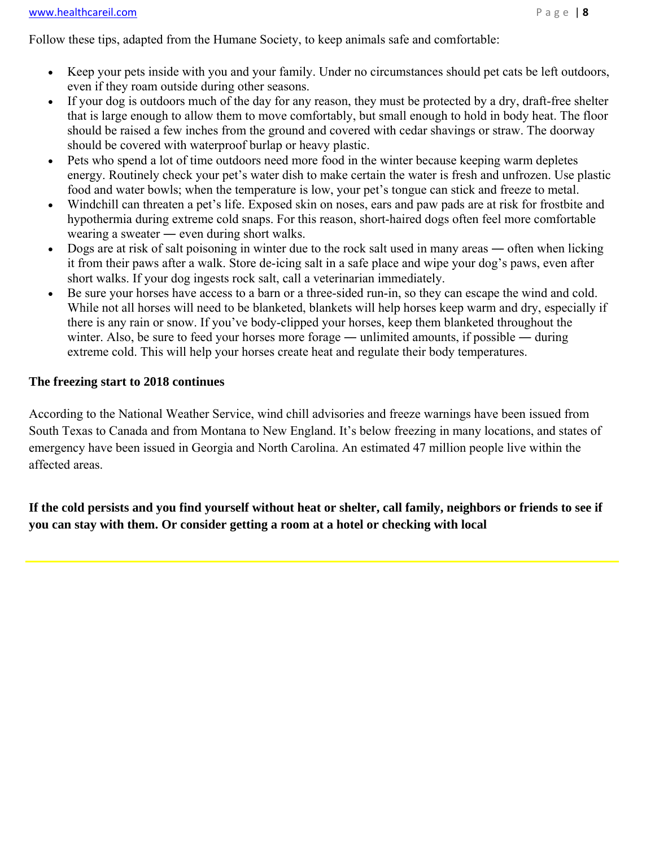Follow these tips, adapted from the Humane Society, to keep animals safe and comfortable:

- Keep your pets inside with you and your family. Under no circumstances should pet cats be left outdoors, even if they roam outside during other seasons.
- If your dog is outdoors much of the day for any reason, they must be protected by a dry, draft-free shelter that is large enough to allow them to move comfortably, but small enough to hold in body heat. The floor should be raised a few inches from the ground and covered with cedar shavings or straw. The doorway should be covered with waterproof burlap or heavy plastic.
- Pets who spend a lot of time outdoors need more food in the winter because keeping warm depletes energy. Routinely check your pet's water dish to make certain the water is fresh and unfrozen. Use plastic food and water bowls; when the temperature is low, your pet's tongue can stick and freeze to metal.
- Windchill can threaten a pet's life. Exposed skin on noses, ears and paw pads are at risk for frostbite and hypothermia during extreme cold snaps. For this reason, short-haired dogs often feel more comfortable wearing a sweater ― even during short walks.
- Dogs are at risk of salt poisoning in winter due to the rock salt used in many areas often when licking it from their paws after a walk. Store de-icing salt in a safe place and wipe your dog's paws, even after short walks. If your dog ingests rock salt, call a veterinarian immediately.
- Be sure your horses have access to a barn or a three-sided run-in, so they can escape the wind and cold. While not all horses will need to be blanketed, blankets will help horses keep warm and dry, especially if there is any rain or snow. If you've body-clipped your horses, keep them blanketed throughout the winter. Also, be sure to feed your horses more forage — unlimited amounts, if possible — during extreme cold. This will help your horses create heat and regulate their body temperatures.

#### **The freezing start to 2018 continues**

According to the National Weather Service, wind chill advisories and freeze warnings have been issued from South Texas to Canada and from Montana to New England. It's below freezing in many locations, and states of emergency have been issued in Georgia and North Carolina. An estimated 47 million people live within the affected areas.

**If the cold persists and you find yourself without heat or shelter, call family, neighbors or friends to see if you can stay with them. Or consider getting a room at a hotel or checking with local**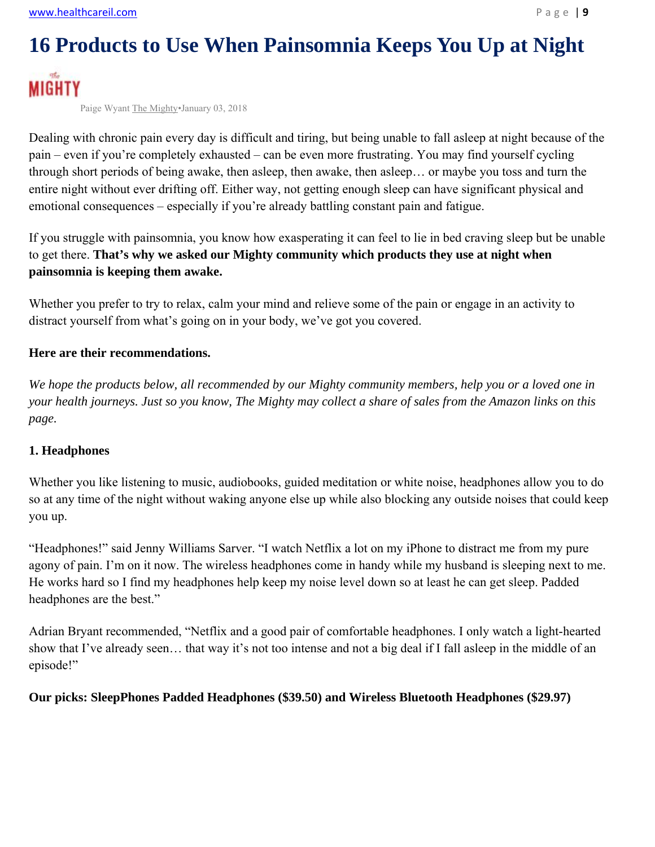# **16 Products to Use When Painsomnia Keeps You Up at Night**

# **MIGHTY**

Paige Wyant The Mighty*•*January 03, 2018

Dealing with chronic pain every day is difficult and tiring, but being unable to fall asleep at night because of the pain – even if you're completely exhausted – can be even more frustrating. You may find yourself cycling through short periods of being awake, then asleep, then awake, then asleep… or maybe you toss and turn the entire night without ever drifting off. Either way, not getting enough sleep can have significant physical and emotional consequences – especially if you're already battling constant pain and fatigue.

If you struggle with painsomnia, you know how exasperating it can feel to lie in bed craving sleep but be unable to get there. **That's why we asked our Mighty community which products they use at night when painsomnia is keeping them awake.**

Whether you prefer to try to relax, calm your mind and relieve some of the pain or engage in an activity to distract yourself from what's going on in your body, we've got you covered.

#### **Here are their recommendations.**

*We hope the products below, all recommended by our Mighty community members, help you or a loved one in your health journeys. Just so you know, The Mighty may collect a share of sales from the Amazon links on this page.*

#### **1. Headphones**

Whether you like listening to music, audiobooks, guided meditation or white noise, headphones allow you to do so at any time of the night without waking anyone else up while also blocking any outside noises that could keep you up.

"Headphones!" said Jenny Williams Sarver. "I watch Netflix a lot on my iPhone to distract me from my pure agony of pain. I'm on it now. The wireless headphones come in handy while my husband is sleeping next to me. He works hard so I find my headphones help keep my noise level down so at least he can get sleep. Padded headphones are the best."

Adrian Bryant recommended, "Netflix and a good pair of comfortable headphones. I only watch a light-hearted show that I've already seen… that way it's not too intense and not a big deal if I fall asleep in the middle of an episode!"

#### **Our picks: SleepPhones Padded Headphones (\$39.50) and Wireless Bluetooth Headphones (\$29.97)**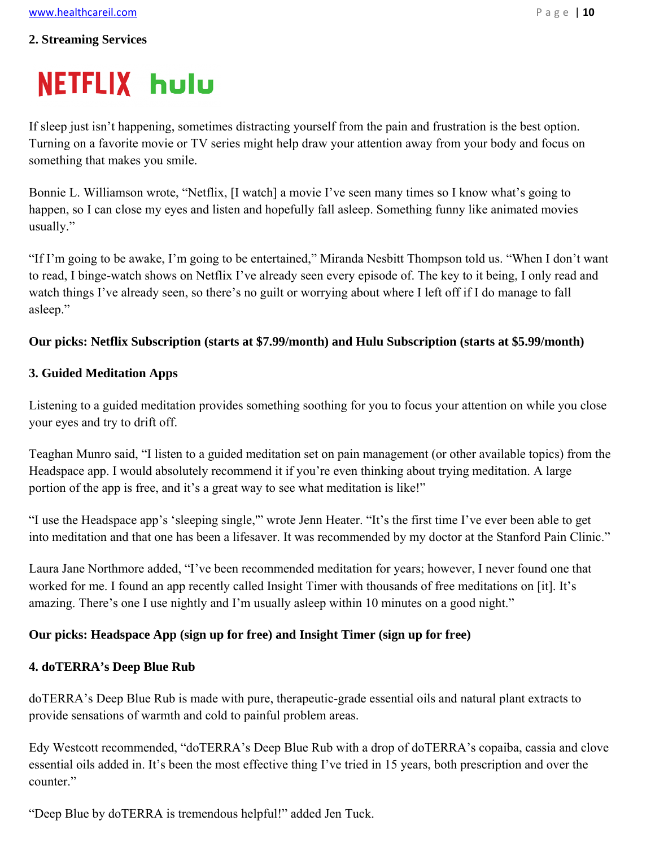#### **2. Streaming Services**

# **NETFLIX hulu**

If sleep just isn't happening, sometimes distracting yourself from the pain and frustration is the best option. Turning on a favorite movie or TV series might help draw your attention away from your body and focus on something that makes you smile.

Bonnie L. Williamson wrote, "Netflix, [I watch] a movie I've seen many times so I know what's going to happen, so I can close my eyes and listen and hopefully fall asleep. Something funny like animated movies usually."

"If I'm going to be awake, I'm going to be entertained," Miranda Nesbitt Thompson told us. "When I don't want to read, I binge-watch shows on Netflix I've already seen every episode of. The key to it being, I only read and watch things I've already seen, so there's no guilt or worrying about where I left off if I do manage to fall asleep."

#### **Our picks: Netflix Subscription (starts at \$7.99/month) and Hulu Subscription (starts at \$5.99/month)**

#### **3. Guided Meditation Apps**

Listening to a guided meditation provides something soothing for you to focus your attention on while you close your eyes and try to drift off.

Teaghan Munro said, "I listen to a guided meditation set on pain management (or other available topics) from the Headspace app. I would absolutely recommend it if you're even thinking about trying meditation. A large portion of the app is free, and it's a great way to see what meditation is like!"

"I use the Headspace app's 'sleeping single,'" wrote Jenn Heater. "It's the first time I've ever been able to get into meditation and that one has been a lifesaver. It was recommended by my doctor at the Stanford Pain Clinic."

Laura Jane Northmore added, "I've been recommended meditation for years; however, I never found one that worked for me. I found an app recently called Insight Timer with thousands of free meditations on [it]. It's amazing. There's one I use nightly and I'm usually asleep within 10 minutes on a good night."

#### **Our picks: Headspace App (sign up for free) and Insight Timer (sign up for free)**

#### **4. doTERRA's Deep Blue Rub**

doTERRA's Deep Blue Rub is made with pure, therapeutic-grade essential oils and natural plant extracts to provide sensations of warmth and cold to painful problem areas.

Edy Westcott recommended, "doTERRA's Deep Blue Rub with a drop of doTERRA's copaiba, cassia and clove essential oils added in. It's been the most effective thing I've tried in 15 years, both prescription and over the counter."

"Deep Blue by doTERRA is tremendous helpful!" added Jen Tuck.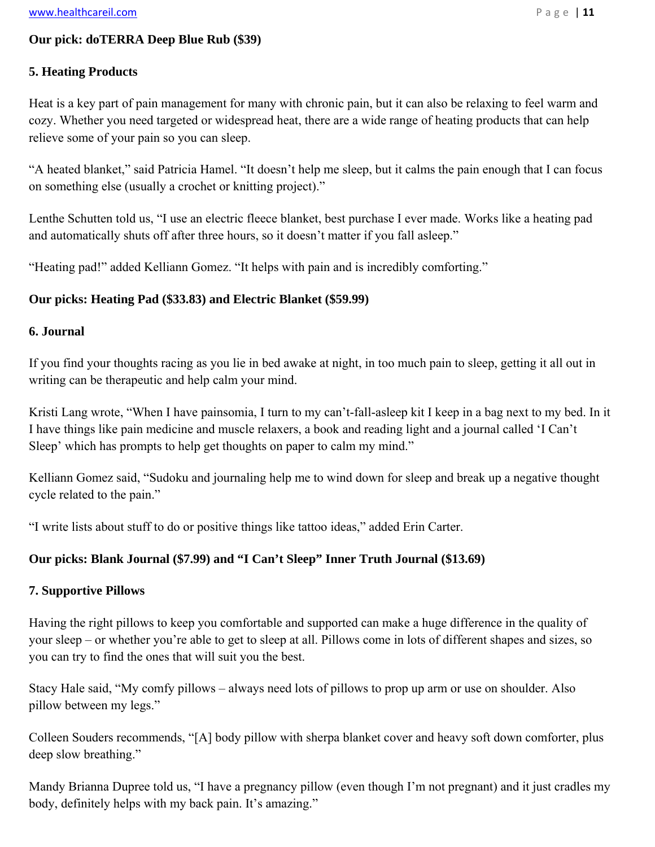#### **Our pick: doTERRA Deep Blue Rub (\$39)**

#### **5. Heating Products**

Heat is a key part of pain management for many with chronic pain, but it can also be relaxing to feel warm and cozy. Whether you need targeted or widespread heat, there are a wide range of heating products that can help relieve some of your pain so you can sleep.

"A heated blanket," said Patricia Hamel. "It doesn't help me sleep, but it calms the pain enough that I can focus on something else (usually a crochet or knitting project)."

Lenthe Schutten told us, "I use an electric fleece blanket, best purchase I ever made. Works like a heating pad and automatically shuts off after three hours, so it doesn't matter if you fall asleep."

"Heating pad!" added Kelliann Gomez. "It helps with pain and is incredibly comforting."

#### **Our picks: Heating Pad (\$33.83) and Electric Blanket (\$59.99)**

#### **6. Journal**

If you find your thoughts racing as you lie in bed awake at night, in too much pain to sleep, getting it all out in writing can be therapeutic and help calm your mind.

Kristi Lang wrote, "When I have painsomia, I turn to my can't-fall-asleep kit I keep in a bag next to my bed. In it I have things like pain medicine and muscle relaxers, a book and reading light and a journal called 'I Can't Sleep' which has prompts to help get thoughts on paper to calm my mind."

Kelliann Gomez said, "Sudoku and journaling help me to wind down for sleep and break up a negative thought cycle related to the pain."

"I write lists about stuff to do or positive things like tattoo ideas," added Erin Carter.

#### **Our picks: Blank Journal (\$7.99) and "I Can't Sleep" Inner Truth Journal (\$13.69)**

#### **7. Supportive Pillows**

Having the right pillows to keep you comfortable and supported can make a huge difference in the quality of your sleep – or whether you're able to get to sleep at all. Pillows come in lots of different shapes and sizes, so you can try to find the ones that will suit you the best.

Stacy Hale said, "My comfy pillows – always need lots of pillows to prop up arm or use on shoulder. Also pillow between my legs."

Colleen Souders recommends, "[A] body pillow with sherpa blanket cover and heavy soft down comforter, plus deep slow breathing."

Mandy Brianna Dupree told us, "I have a pregnancy pillow (even though I'm not pregnant) and it just cradles my body, definitely helps with my back pain. It's amazing."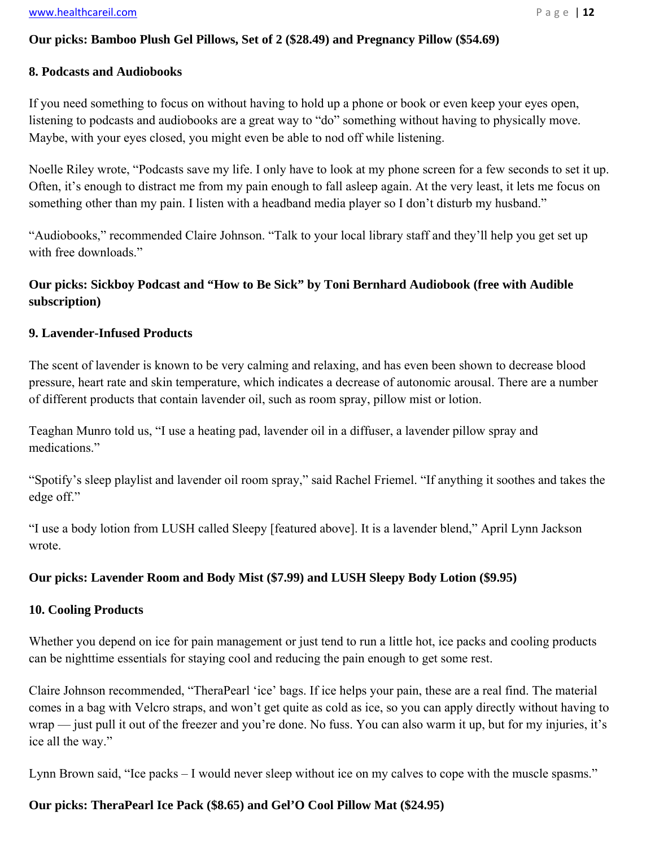#### **Our picks: Bamboo Plush Gel Pillows, Set of 2 (\$28.49) and Pregnancy Pillow (\$54.69)**

#### **8. Podcasts and Audiobooks**

If you need something to focus on without having to hold up a phone or book or even keep your eyes open, listening to podcasts and audiobooks are a great way to "do" something without having to physically move. Maybe, with your eyes closed, you might even be able to nod off while listening.

Noelle Riley wrote, "Podcasts save my life. I only have to look at my phone screen for a few seconds to set it up. Often, it's enough to distract me from my pain enough to fall asleep again. At the very least, it lets me focus on something other than my pain. I listen with a headband media player so I don't disturb my husband."

"Audiobooks," recommended Claire Johnson. "Talk to your local library staff and they'll help you get set up with free downloads."

#### **Our picks: Sickboy Podcast and "How to Be Sick" by Toni Bernhard Audiobook (free with Audible subscription)**

#### **9. Lavender-Infused Products**

The scent of lavender is known to be very calming and relaxing, and has even been shown to decrease blood pressure, heart rate and skin temperature, which indicates a decrease of autonomic arousal. There are a number of different products that contain lavender oil, such as room spray, pillow mist or lotion.

Teaghan Munro told us, "I use a heating pad, lavender oil in a diffuser, a lavender pillow spray and medications."

"Spotify's sleep playlist and lavender oil room spray," said Rachel Friemel. "If anything it soothes and takes the edge off."

"I use a body lotion from LUSH called Sleepy [featured above]. It is a lavender blend," April Lynn Jackson wrote.

#### **Our picks: Lavender Room and Body Mist (\$7.99) and LUSH Sleepy Body Lotion (\$9.95)**

#### **10. Cooling Products**

Whether you depend on ice for pain management or just tend to run a little hot, ice packs and cooling products can be nighttime essentials for staying cool and reducing the pain enough to get some rest.

Claire Johnson recommended, "TheraPearl 'ice' bags. If ice helps your pain, these are a real find. The material comes in a bag with Velcro straps, and won't get quite as cold as ice, so you can apply directly without having to wrap — just pull it out of the freezer and you're done. No fuss. You can also warm it up, but for my injuries, it's ice all the way."

Lynn Brown said, "Ice packs – I would never sleep without ice on my calves to cope with the muscle spasms."

#### **Our picks: TheraPearl Ice Pack (\$8.65) and Gel'O Cool Pillow Mat (\$24.95)**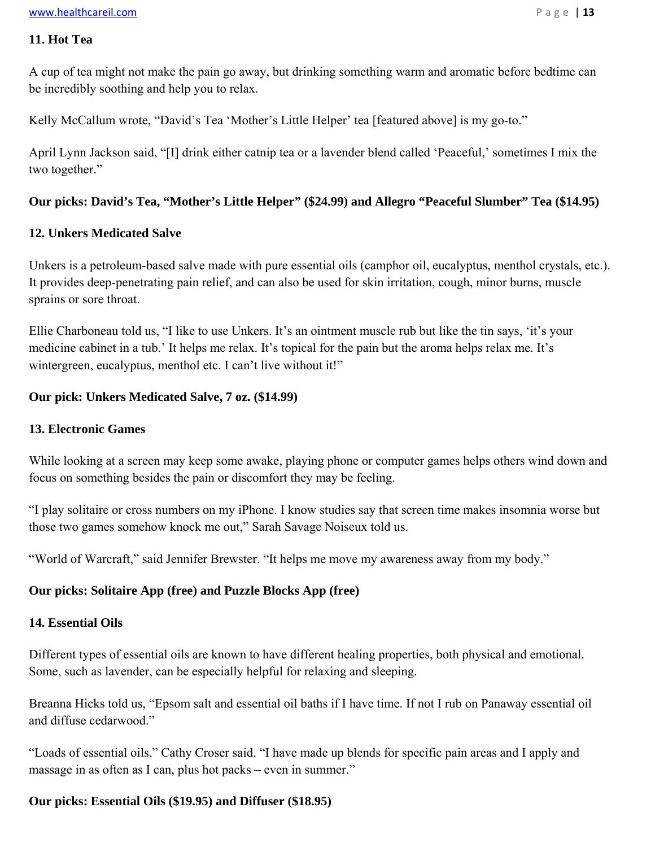#### **11. Hot Tea**

A cup of tea might not make the pain go away, but drinking something warm and aromatic before bedtime can be incredibly soothing and help you to relax.

Kelly McCallum wrote, "David's Tea 'Mother's Little Helper' tea [featured above] is my go-to."

April Lynn Jackson said, "[I] drink either catnip tea or a lavender blend called 'Peaceful,' sometimes I mix the two together."

#### **Our picks: David's Tea, "Mother's Little Helper" (\$24.99) and Allegro "Peaceful Slumber" Tea (\$14.95)**

#### **12. Unkers Medicated Salve**

Unkers is a petroleum-based salve made with pure essential oils (camphor oil, eucalyptus, menthol crystals, etc.). It provides deep-penetrating pain relief, and can also be used for skin irritation, cough, minor burns, muscle sprains or sore throat.

Ellie Charboneau told us, "I like to use Unkers. It's an ointment muscle rub but like the tin says, 'it's your medicine cabinet in a tub.' It helps me relax. It's topical for the pain but the aroma helps relax me. It's wintergreen, eucalyptus, menthol etc. I can't live without it!"

#### **Our pick: Unkers Medicated Salve, 7 oz. (\$14.99)**

#### **13. Electronic Games**

While looking at a screen may keep some awake, playing phone or computer games helps others wind down and focus on something besides the pain or discomfort they may be feeling.

"I play solitaire or cross numbers on my iPhone. I know studies say that screen time makes insomnia worse but those two games somehow knock me out," Sarah Savage Noiseux told us.

"World of Warcraft," said Jennifer Brewster. "It helps me move my awareness away from my body."

#### **Our picks: Solitaire App (free) and Puzzle Blocks App (free)**

#### **14. Essential Oils**

Different types of essential oils are known to have different healing properties, both physical and emotional. Some, such as lavender, can be especially helpful for relaxing and sleeping.

Breanna Hicks told us, "Epsom salt and essential oil baths if I have time. If not I rub on Panaway essential oil and diffuse cedarwood."

"Loads of essential oils," Cathy Croser said. "I have made up blends for specific pain areas and I apply and massage in as often as I can, plus hot packs – even in summer."

#### **Our picks: Essential Oils (\$19.95) and Diffuser (\$18.95)**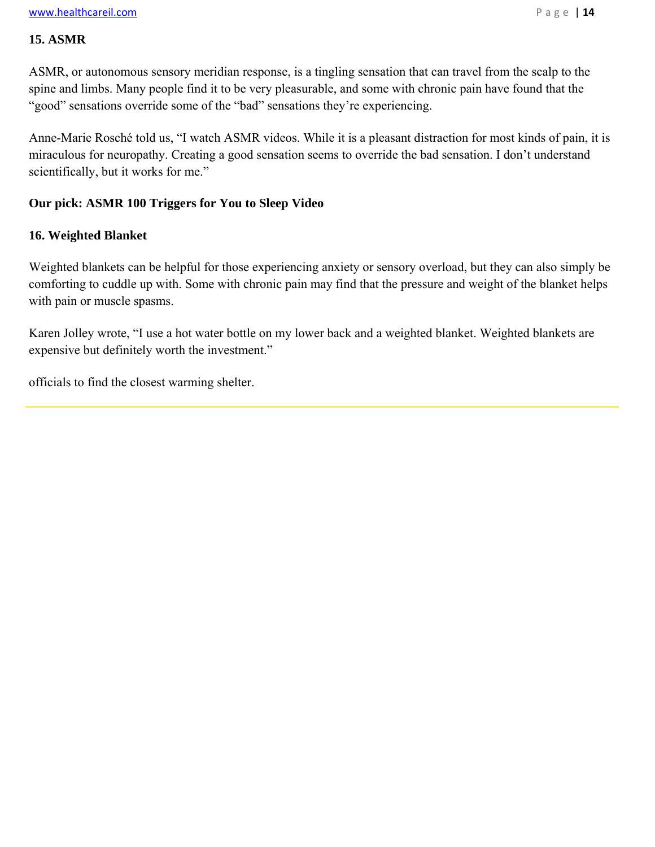#### **15. ASMR**

ASMR, or autonomous sensory meridian response, is a tingling sensation that can travel from the scalp to the spine and limbs. Many people find it to be very pleasurable, and some with chronic pain have found that the "good" sensations override some of the "bad" sensations they're experiencing.

Anne-Marie Rosché told us, "I watch ASMR videos. While it is a pleasant distraction for most kinds of pain, it is miraculous for neuropathy. Creating a good sensation seems to override the bad sensation. I don't understand scientifically, but it works for me."

#### **Our pick: ASMR 100 Triggers for You to Sleep Video**

#### **16. Weighted Blanket**

Weighted blankets can be helpful for those experiencing anxiety or sensory overload, but they can also simply be comforting to cuddle up with. Some with chronic pain may find that the pressure and weight of the blanket helps with pain or muscle spasms.

Karen Jolley wrote, "I use a hot water bottle on my lower back and a weighted blanket. Weighted blankets are expensive but definitely worth the investment."

officials to find the closest warming shelter.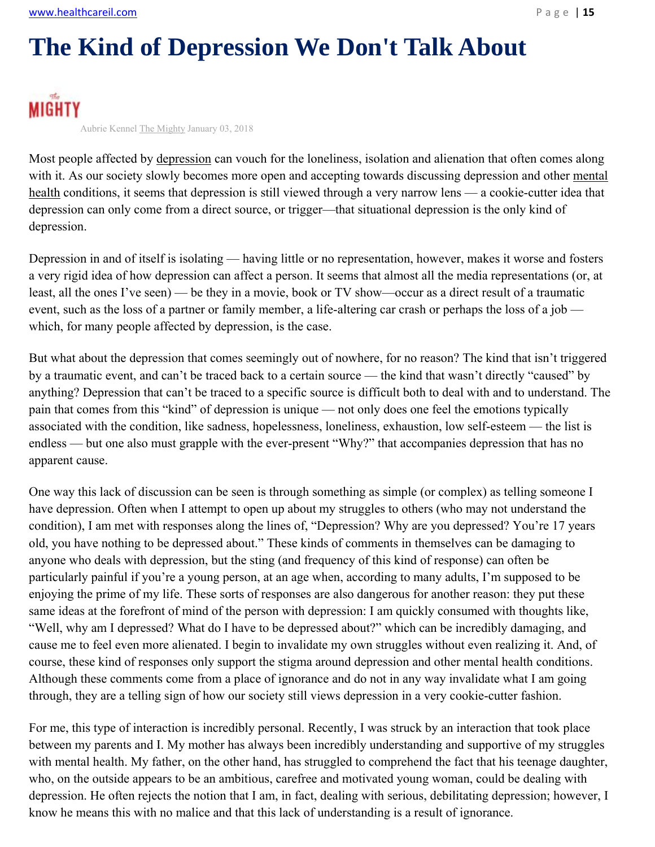# **The Kind of Depression We Don't Talk About**



Aubrie Kennel The Mighty January 03, 2018

Most people affected by depression can vouch for the loneliness, isolation and alienation that often comes along with it. As our society slowly becomes more open and accepting towards discussing depression and other mental health conditions, it seems that depression is still viewed through a very narrow lens — a cookie-cutter idea that depression can only come from a direct source, or trigger—that situational depression is the only kind of depression.

Depression in and of itself is isolating — having little or no representation, however, makes it worse and fosters a very rigid idea of how depression can affect a person. It seems that almost all the media representations (or, at least, all the ones I've seen) — be they in a movie, book or TV show—occur as a direct result of a traumatic event, such as the loss of a partner or family member, a life-altering car crash or perhaps the loss of a job which, for many people affected by depression, is the case.

But what about the depression that comes seemingly out of nowhere, for no reason? The kind that isn't triggered by a traumatic event, and can't be traced back to a certain source — the kind that wasn't directly "caused" by anything? Depression that can't be traced to a specific source is difficult both to deal with and to understand. The pain that comes from this "kind" of depression is unique — not only does one feel the emotions typically associated with the condition, like sadness, hopelessness, loneliness, exhaustion, low self-esteem — the list is endless — but one also must grapple with the ever-present "Why?" that accompanies depression that has no apparent cause.

One way this lack of discussion can be seen is through something as simple (or complex) as telling someone I have depression. Often when I attempt to open up about my struggles to others (who may not understand the condition), I am met with responses along the lines of, "Depression? Why are you depressed? You're 17 years old, you have nothing to be depressed about." These kinds of comments in themselves can be damaging to anyone who deals with depression, but the sting (and frequency of this kind of response) can often be particularly painful if you're a young person, at an age when, according to many adults, I'm supposed to be enjoying the prime of my life. These sorts of responses are also dangerous for another reason: they put these same ideas at the forefront of mind of the person with depression: I am quickly consumed with thoughts like, "Well, why am I depressed? What do I have to be depressed about?" which can be incredibly damaging, and cause me to feel even more alienated. I begin to invalidate my own struggles without even realizing it. And, of course, these kind of responses only support the stigma around depression and other mental health conditions. Although these comments come from a place of ignorance and do not in any way invalidate what I am going through, they are a telling sign of how our society still views depression in a very cookie-cutter fashion.

For me, this type of interaction is incredibly personal. Recently, I was struck by an interaction that took place between my parents and I. My mother has always been incredibly understanding and supportive of my struggles with mental health. My father, on the other hand, has struggled to comprehend the fact that his teenage daughter, who, on the outside appears to be an ambitious, carefree and motivated young woman, could be dealing with depression. He often rejects the notion that I am, in fact, dealing with serious, debilitating depression; however, I know he means this with no malice and that this lack of understanding is a result of ignorance.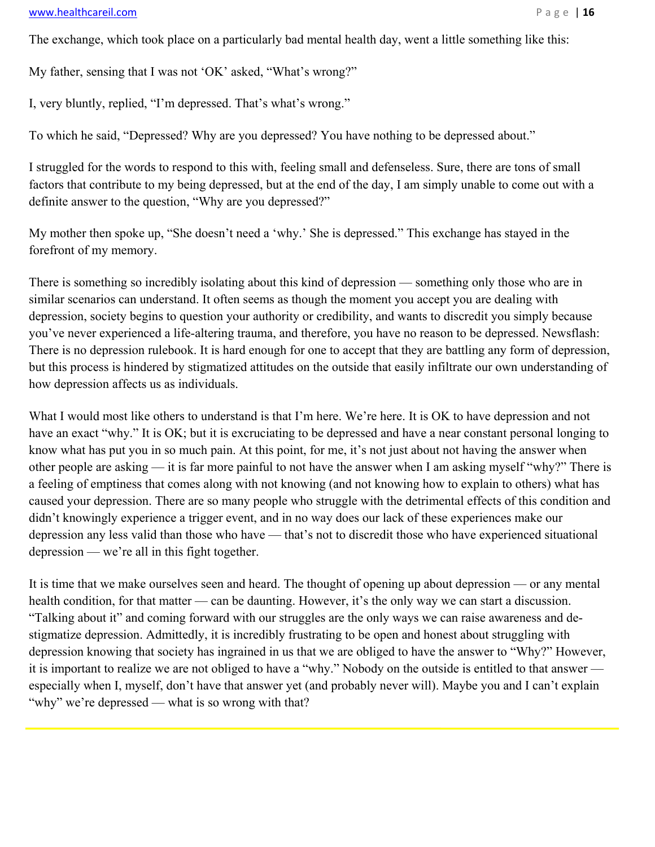#### www.healthcareil.com **Department of the COVID-10 SET ACCOLLE** Page | 16

The exchange, which took place on a particularly bad mental health day, went a little something like this:

My father, sensing that I was not 'OK' asked, "What's wrong?"

I, very bluntly, replied, "I'm depressed. That's what's wrong."

To which he said, "Depressed? Why are you depressed? You have nothing to be depressed about."

I struggled for the words to respond to this with, feeling small and defenseless. Sure, there are tons of small factors that contribute to my being depressed, but at the end of the day, I am simply unable to come out with a definite answer to the question, "Why are you depressed?"

My mother then spoke up, "She doesn't need a 'why.' She is depressed." This exchange has stayed in the forefront of my memory.

There is something so incredibly isolating about this kind of depression — something only those who are in similar scenarios can understand. It often seems as though the moment you accept you are dealing with depression, society begins to question your authority or credibility, and wants to discredit you simply because you've never experienced a life-altering trauma, and therefore, you have no reason to be depressed. Newsflash: There is no depression rulebook. It is hard enough for one to accept that they are battling any form of depression, but this process is hindered by stigmatized attitudes on the outside that easily infiltrate our own understanding of how depression affects us as individuals.

What I would most like others to understand is that I'm here. We're here. It is OK to have depression and not have an exact "why." It is OK; but it is excruciating to be depressed and have a near constant personal longing to know what has put you in so much pain. At this point, for me, it's not just about not having the answer when other people are asking — it is far more painful to not have the answer when I am asking myself "why?" There is a feeling of emptiness that comes along with not knowing (and not knowing how to explain to others) what has caused your depression. There are so many people who struggle with the detrimental effects of this condition and didn't knowingly experience a trigger event, and in no way does our lack of these experiences make our depression any less valid than those who have — that's not to discredit those who have experienced situational depression — we're all in this fight together.

It is time that we make ourselves seen and heard. The thought of opening up about depression — or any mental health condition, for that matter — can be daunting. However, it's the only way we can start a discussion. "Talking about it" and coming forward with our struggles are the only ways we can raise awareness and destigmatize depression. Admittedly, it is incredibly frustrating to be open and honest about struggling with depression knowing that society has ingrained in us that we are obliged to have the answer to "Why?" However, it is important to realize we are not obliged to have a "why." Nobody on the outside is entitled to that answer especially when I, myself, don't have that answer yet (and probably never will). Maybe you and I can't explain "why" we're depressed — what is so wrong with that?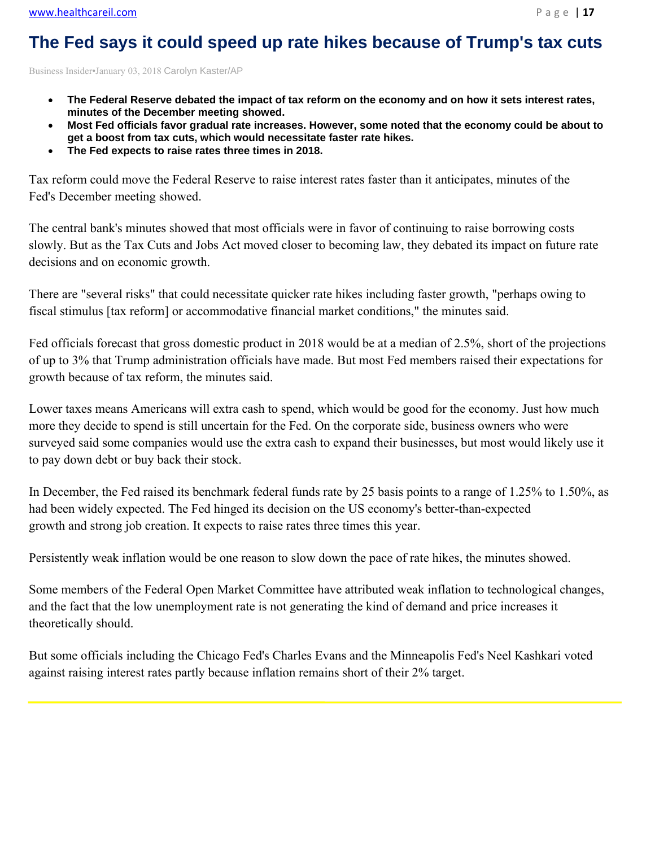i<br>I

## **The Fed says it could speed up rate hikes because of Trump's tax cuts**

Business Insider•January 03, 2018 Carolyn Kaster/AP

- **The Federal Reserve debated the impact of tax reform on the economy and on how it sets interest rates, minutes of the December meeting showed.**
- **Most Fed officials favor gradual rate increases. However, some noted that the economy could be about to get a boost from tax cuts, which would necessitate faster rate hikes.**
- **The Fed expects to raise rates three times in 2018.**

Tax reform could move the Federal Reserve to raise interest rates faster than it anticipates, minutes of the Fed's December meeting showed.

The central bank's minutes showed that most officials were in favor of continuing to raise borrowing costs slowly. But as the Tax Cuts and Jobs Act moved closer to becoming law, they debated its impact on future rate decisions and on economic growth.

There are "several risks" that could necessitate quicker rate hikes including faster growth, "perhaps owing to fiscal stimulus [tax reform] or accommodative financial market conditions," the minutes said.

Fed officials forecast that gross domestic product in 2018 would be at a median of 2.5%, short of the projections of up to 3% that Trump administration officials have made. But most Fed members raised their expectations for growth because of tax reform, the minutes said.

Lower taxes means Americans will extra cash to spend, which would be good for the economy. Just how much more they decide to spend is still uncertain for the Fed. On the corporate side, business owners who were surveyed said some companies would use the extra cash to expand their businesses, but most would likely use it to pay down debt or buy back their stock.

In December, the Fed raised its benchmark federal funds rate by 25 basis points to a range of 1.25% to 1.50%, as had been widely expected. The Fed hinged its decision on the US economy's better-than-expected growth and strong job creation. It expects to raise rates three times this year.

Persistently weak inflation would be one reason to slow down the pace of rate hikes, the minutes showed.

Some members of the Federal Open Market Committee have attributed weak inflation to technological changes, and the fact that the low unemployment rate is not generating the kind of demand and price increases it theoretically should.

But some officials including the Chicago Fed's Charles Evans and the Minneapolis Fed's Neel Kashkari voted against raising interest rates partly because inflation remains short of their 2% target.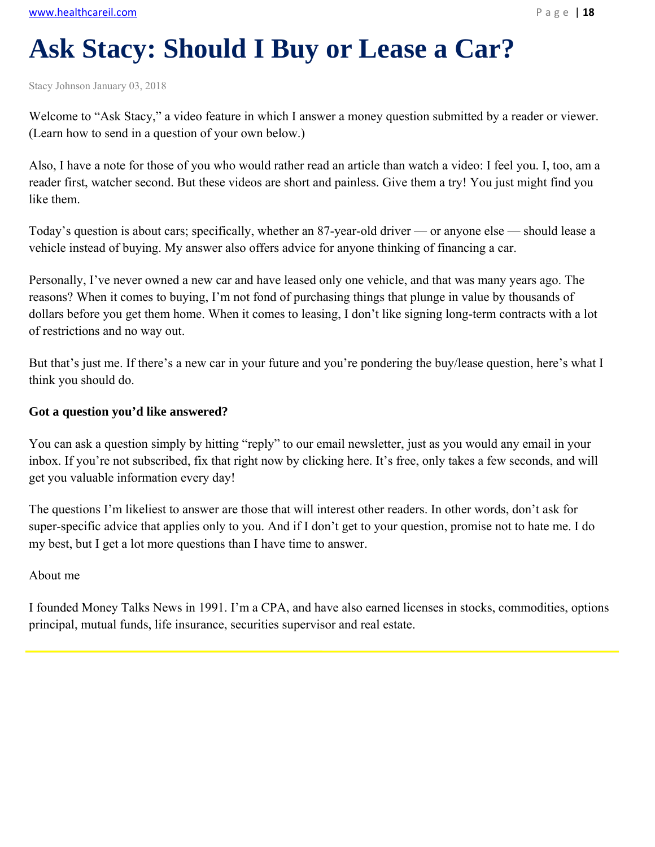# **Ask Stacy: Should I Buy or Lease a Car?**

Stacy Johnson January 03, 2018

Welcome to "Ask Stacy," a video feature in which I answer a money question submitted by a reader or viewer. (Learn how to send in a question of your own below.)

Also, I have a note for those of you who would rather read an article than watch a video: I feel you. I, too, am a reader first, watcher second. But these videos are short and painless. Give them a try! You just might find you like them.

Today's question is about cars; specifically, whether an 87-year-old driver — or anyone else — should lease a vehicle instead of buying. My answer also offers advice for anyone thinking of financing a car.

Personally, I've never owned a new car and have leased only one vehicle, and that was many years ago. The reasons? When it comes to buying, I'm not fond of purchasing things that plunge in value by thousands of dollars before you get them home. When it comes to leasing, I don't like signing long-term contracts with a lot of restrictions and no way out.

But that's just me. If there's a new car in your future and you're pondering the buy/lease question, here's what I think you should do.

#### **Got a question you'd like answered?**

You can ask a question simply by hitting "reply" to our email newsletter, just as you would any email in your inbox. If you're not subscribed, fix that right now by clicking here. It's free, only takes a few seconds, and will get you valuable information every day!

The questions I'm likeliest to answer are those that will interest other readers. In other words, don't ask for super-specific advice that applies only to you. And if I don't get to your question, promise not to hate me. I do my best, but I get a lot more questions than I have time to answer.

#### About me

Ĩ

I founded Money Talks News in 1991. I'm a CPA, and have also earned licenses in stocks, commodities, options principal, mutual funds, life insurance, securities supervisor and real estate.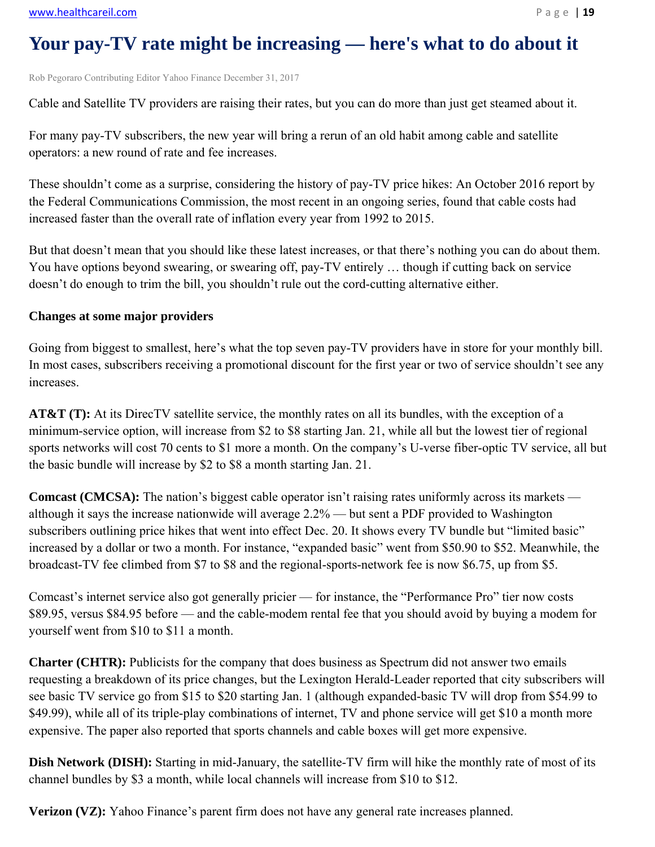## **Your pay-TV rate might be increasing — here's what to do about it**

Rob Pegoraro Contributing Editor Yahoo Finance December 31, 2017

Cable and Satellite TV providers are raising their rates, but you can do more than just get steamed about it.

For many pay-TV subscribers, the new year will bring a rerun of an old habit among cable and satellite operators: a new round of rate and fee increases.

These shouldn't come as a surprise, considering the history of pay-TV price hikes: An October 2016 report by the Federal Communications Commission, the most recent in an ongoing series, found that cable costs had increased faster than the overall rate of inflation every year from 1992 to 2015.

But that doesn't mean that you should like these latest increases, or that there's nothing you can do about them. You have options beyond swearing, or swearing off, pay-TV entirely … though if cutting back on service doesn't do enough to trim the bill, you shouldn't rule out the cord-cutting alternative either.

#### **Changes at some major providers**

Going from biggest to smallest, here's what the top seven pay-TV providers have in store for your monthly bill. In most cases, subscribers receiving a promotional discount for the first year or two of service shouldn't see any increases.

**AT&T (T):** At its DirecTV satellite service, the monthly rates on all its bundles, with the exception of a minimum-service option, will increase from \$2 to \$8 starting Jan. 21, while all but the lowest tier of regional sports networks will cost 70 cents to \$1 more a month. On the company's U-verse fiber-optic TV service, all but the basic bundle will increase by \$2 to \$8 a month starting Jan. 21.

**Comcast (CMCSA):** The nation's biggest cable operator isn't raising rates uniformly across its markets although it says the increase nationwide will average 2.2% — but sent a PDF provided to Washington subscribers outlining price hikes that went into effect Dec. 20. It shows every TV bundle but "limited basic" increased by a dollar or two a month. For instance, "expanded basic" went from \$50.90 to \$52. Meanwhile, the broadcast-TV fee climbed from \$7 to \$8 and the regional-sports-network fee is now \$6.75, up from \$5.

Comcast's internet service also got generally pricier — for instance, the "Performance Pro" tier now costs \$89.95, versus \$84.95 before — and the cable-modem rental fee that you should avoid by buying a modem for yourself went from \$10 to \$11 a month.

**Charter (CHTR):** Publicists for the company that does business as Spectrum did not answer two emails requesting a breakdown of its price changes, but the Lexington Herald-Leader reported that city subscribers will see basic TV service go from \$15 to \$20 starting Jan. 1 (although expanded-basic TV will drop from \$54.99 to \$49.99), while all of its triple-play combinations of internet, TV and phone service will get \$10 a month more expensive. The paper also reported that sports channels and cable boxes will get more expensive.

**Dish Network (DISH):** Starting in mid-January, the satellite-TV firm will hike the monthly rate of most of its channel bundles by \$3 a month, while local channels will increase from \$10 to \$12.

Verizon (VZ): Yahoo Finance's parent firm does not have any general rate increases planned.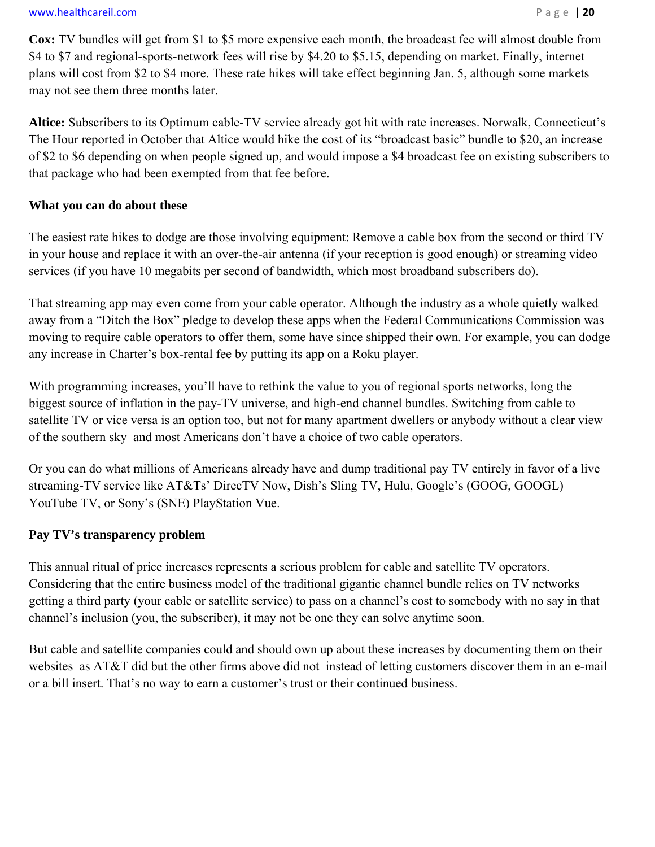#### www.healthcareil.com **blue and the set of the set of the set of the set of the set of the set of the set of the set of the set of the set of the set of the set of the set of the set of the set of the set of the set of the**

**Cox:** TV bundles will get from \$1 to \$5 more expensive each month, the broadcast fee will almost double from \$4 to \$7 and regional-sports-network fees will rise by \$4.20 to \$5.15, depending on market. Finally, internet plans will cost from \$2 to \$4 more. These rate hikes will take effect beginning Jan. 5, although some markets may not see them three months later.

**Altice:** Subscribers to its Optimum cable-TV service already got hit with rate increases. Norwalk, Connecticut's The Hour reported in October that Altice would hike the cost of its "broadcast basic" bundle to \$20, an increase of \$2 to \$6 depending on when people signed up, and would impose a \$4 broadcast fee on existing subscribers to that package who had been exempted from that fee before.

#### **What you can do about these**

The easiest rate hikes to dodge are those involving equipment: Remove a cable box from the second or third TV in your house and replace it with an over-the-air antenna (if your reception is good enough) or streaming video services (if you have 10 megabits per second of bandwidth, which most broadband subscribers do).

That streaming app may even come from your cable operator. Although the industry as a whole quietly walked away from a "Ditch the Box" pledge to develop these apps when the Federal Communications Commission was moving to require cable operators to offer them, some have since shipped their own. For example, you can dodge any increase in Charter's box-rental fee by putting its app on a Roku player.

With programming increases, you'll have to rethink the value to you of regional sports networks, long the biggest source of inflation in the pay-TV universe, and high-end channel bundles. Switching from cable to satellite TV or vice versa is an option too, but not for many apartment dwellers or anybody without a clear view of the southern sky–and most Americans don't have a choice of two cable operators.

Or you can do what millions of Americans already have and dump traditional pay TV entirely in favor of a live streaming-TV service like AT&Ts' DirecTV Now, Dish's Sling TV, Hulu, Google's (GOOG, GOOGL) YouTube TV, or Sony's (SNE) PlayStation Vue.

#### **Pay TV's transparency problem**

This annual ritual of price increases represents a serious problem for cable and satellite TV operators. Considering that the entire business model of the traditional gigantic channel bundle relies on TV networks getting a third party (your cable or satellite service) to pass on a channel's cost to somebody with no say in that channel's inclusion (you, the subscriber), it may not be one they can solve anytime soon.

But cable and satellite companies could and should own up about these increases by documenting them on their websites–as AT&T did but the other firms above did not–instead of letting customers discover them in an e-mail or a bill insert. That's no way to earn a customer's trust or their continued business.